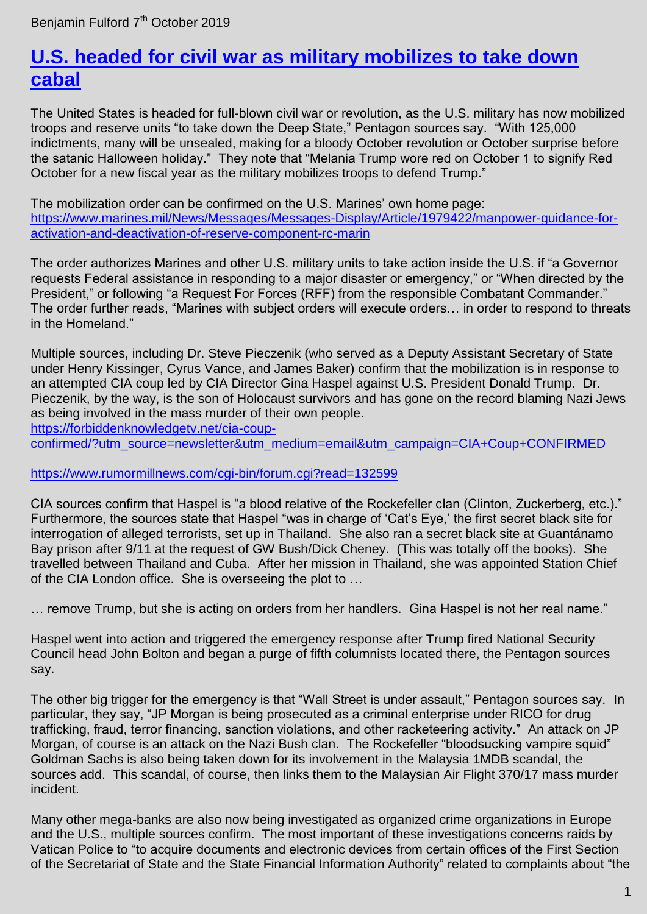## **[U.S. headed for civil war as military mobilizes to take down](https://benjaminfulford.net/2019/10/07/u-s-headed-for-civil-war-as-military-mobilizes-to-take-down-cabal/)  [cabal](https://benjaminfulford.net/2019/10/07/u-s-headed-for-civil-war-as-military-mobilizes-to-take-down-cabal/)**

The United States is headed for full-blown civil war or revolution, as the U.S. military has now mobilized troops and reserve units "to take down the Deep State," Pentagon sources say. "With 125,000 indictments, many will be unsealed, making for a bloody October revolution or October surprise before the satanic Halloween holiday." They note that "Melania Trump wore red on October 1 to signify Red October for a new fiscal year as the military mobilizes troops to defend Trump."

The mobilization order can be confirmed on the U.S. Marines' own home page: [https://www.marines.mil/News/Messages/Messages-Display/Article/1979422/manpower-guidance-for](https://www.marines.mil/News/Messages/Messages-Display/Article/1979422/manpower-guidance-for-activation-and-deactivation-of-reserve-component-rc-marin)[activation-and-deactivation-of-reserve-component-rc-marin](https://www.marines.mil/News/Messages/Messages-Display/Article/1979422/manpower-guidance-for-activation-and-deactivation-of-reserve-component-rc-marin)

The order authorizes Marines and other U.S. military units to take action inside the U.S. if "a Governor requests Federal assistance in responding to a major disaster or emergency," or "When directed by the President," or following "a Request For Forces (RFF) from the responsible Combatant Commander." The order further reads, "Marines with subject orders will execute orders… in order to respond to threats in the Homeland."

Multiple sources, including Dr. Steve Pieczenik (who served as a Deputy Assistant Secretary of State under Henry Kissinger, Cyrus Vance, and James Baker) confirm that the mobilization is in response to an attempted CIA coup led by CIA Director Gina Haspel against U.S. President Donald Trump. Dr. Pieczenik, by the way, is the son of Holocaust survivors and has gone on the record blaming Nazi Jews as being involved in the mass murder of their own people.

[https://forbiddenknowledgetv.net/cia-coup-](https://forbiddenknowledgetv.net/cia-coup-confirmed/?utm_source=newsletter&utm_medium=email&utm_campaign=CIA+Coup+CONFIRMED)

[confirmed/?utm\\_source=newsletter&utm\\_medium=email&utm\\_campaign=CIA+Coup+CONFIRMED](https://forbiddenknowledgetv.net/cia-coup-confirmed/?utm_source=newsletter&utm_medium=email&utm_campaign=CIA+Coup+CONFIRMED)

## <https://www.rumormillnews.com/cgi-bin/forum.cgi?read=132599>

CIA sources confirm that Haspel is "a blood relative of the Rockefeller clan (Clinton, Zuckerberg, etc.)." Furthermore, the sources state that Haspel "was in charge of 'Cat's Eye,' the first secret black site for interrogation of alleged terrorists, set up in Thailand. She also ran a secret black site at Guantánamo Bay prison after 9/11 at the request of GW Bush/Dick Cheney. (This was totally off the books). She travelled between Thailand and Cuba. After her mission in Thailand, she was appointed Station Chief of the CIA London office. She is overseeing the plot to …

… remove Trump, but she is acting on orders from her handlers. Gina Haspel is not her real name."

Haspel went into action and triggered the emergency response after Trump fired National Security Council head John Bolton and began a purge of fifth columnists located there, the Pentagon sources say.

The other big trigger for the emergency is that "Wall Street is under assault," Pentagon sources say. In particular, they say, "JP Morgan is being prosecuted as a criminal enterprise under RICO for drug trafficking, fraud, terror financing, sanction violations, and other racketeering activity." An attack on JP Morgan, of course is an attack on the Nazi Bush clan. The Rockefeller "bloodsucking vampire squid" Goldman Sachs is also being taken down for its involvement in the Malaysia 1MDB scandal, the sources add. This scandal, of course, then links them to the Malaysian Air Flight 370/17 mass murder incident.

Many other mega-banks are also now being investigated as organized crime organizations in Europe and the U.S., multiple sources confirm. The most important of these investigations concerns raids by Vatican Police to "to acquire documents and electronic devices from certain offices of the First Section of the Secretariat of State and the State Financial Information Authority" related to complaints about "the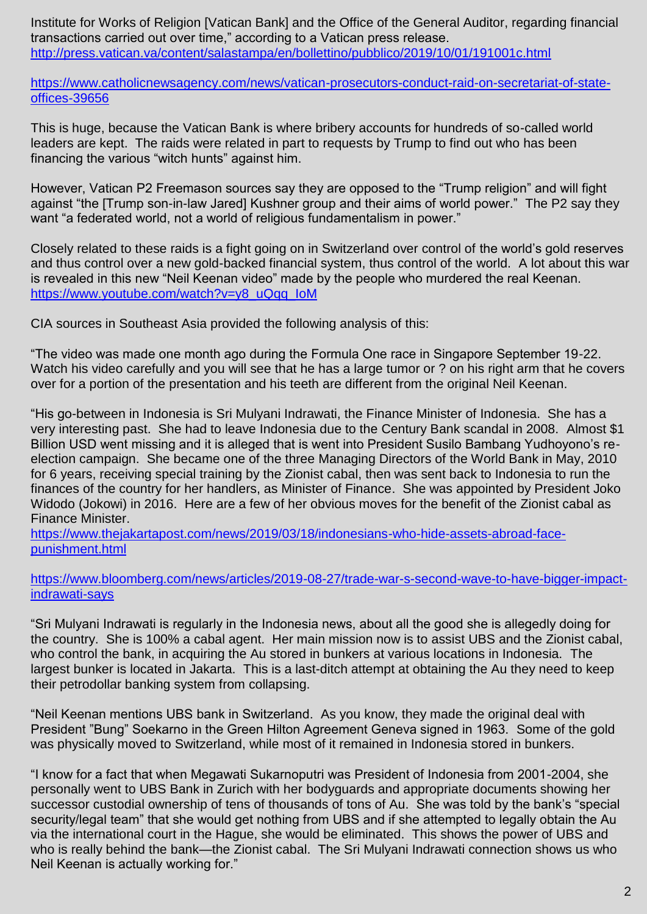Institute for Works of Religion [Vatican Bank] and the Office of the General Auditor, regarding financial transactions carried out over time," according to a Vatican press release. <http://press.vatican.va/content/salastampa/en/bollettino/pubblico/2019/10/01/191001c.html>

[https://www.catholicnewsagency.com/news/vatican-prosecutors-conduct-raid-on-secretariat-of-state](https://www.catholicnewsagency.com/news/vatican-prosecutors-conduct-raid-on-secretariat-of-state-offices-39656)[offices-39656](https://www.catholicnewsagency.com/news/vatican-prosecutors-conduct-raid-on-secretariat-of-state-offices-39656)

This is huge, because the Vatican Bank is where bribery accounts for hundreds of so-called world leaders are kept. The raids were related in part to requests by Trump to find out who has been financing the various "witch hunts" against him.

However, Vatican P2 Freemason sources say they are opposed to the "Trump religion" and will fight against "the [Trump son-in-law Jared] Kushner group and their aims of world power." The P2 say they want "a federated world, not a world of religious fundamentalism in power."

Closely related to these raids is a fight going on in Switzerland over control of the world"s gold reserves and thus control over a new gold-backed financial system, thus control of the world. A lot about this war is revealed in this new "Neil Keenan video" made by the people who murdered the real Keenan. [https://www.youtube.com/watch?v=y8\\_uQqq\\_IoM](https://www.youtube.com/watch?v=y8_uQqq_IoM)

CIA sources in Southeast Asia provided the following analysis of this:

"The video was made one month ago during the Formula One race in Singapore September 19-22. Watch his video carefully and you will see that he has a large tumor or ? on his right arm that he covers over for a portion of the presentation and his teeth are different from the original Neil Keenan.

"His go-between in Indonesia is Sri Mulyani Indrawati, the Finance Minister of Indonesia. She has a very interesting past. She had to leave Indonesia due to the Century Bank scandal in 2008. Almost \$1 Billion USD went missing and it is alleged that is went into President Susilo Bambang Yudhoyono's reelection campaign. She became one of the three Managing Directors of the World Bank in May, 2010 for 6 years, receiving special training by the Zionist cabal, then was sent back to Indonesia to run the finances of the country for her handlers, as Minister of Finance. She was appointed by President Joko Widodo (Jokowi) in 2016. Here are a few of her obvious moves for the benefit of the Zionist cabal as Finance Minister.

[https://www.thejakartapost.com/news/2019/03/18/indonesians-who-hide-assets-abroad-face](https://www.thejakartapost.com/news/2019/03/18/indonesians-who-hide-assets-abroad-face-punishment.html)[punishment.html](https://www.thejakartapost.com/news/2019/03/18/indonesians-who-hide-assets-abroad-face-punishment.html)

[https://www.bloomberg.com/news/articles/2019-08-27/trade-war-s-second-wave-to-have-bigger-impact](https://www.bloomberg.com/news/articles/2019-08-27/trade-war-s-second-wave-to-have-bigger-impact-indrawati-says)[indrawati-says](https://www.bloomberg.com/news/articles/2019-08-27/trade-war-s-second-wave-to-have-bigger-impact-indrawati-says)

"Sri Mulyani Indrawati is regularly in the Indonesia news, about all the good she is allegedly doing for the country. She is 100% a cabal agent. Her main mission now is to assist UBS and the Zionist cabal, who control the bank, in acquiring the Au stored in bunkers at various locations in Indonesia. The largest bunker is located in Jakarta. This is a last-ditch attempt at obtaining the Au they need to keep their petrodollar banking system from collapsing.

"Neil Keenan mentions UBS bank in Switzerland. As you know, they made the original deal with President "Bung" Soekarno in the Green Hilton Agreement Geneva signed in 1963. Some of the gold was physically moved to Switzerland, while most of it remained in Indonesia stored in bunkers.

"I know for a fact that when Megawati Sukarnoputri was President of Indonesia from 2001-2004, she personally went to UBS Bank in Zurich with her bodyguards and appropriate documents showing her successor custodial ownership of tens of thousands of tons of Au. She was told by the bank"s "special security/legal team" that she would get nothing from UBS and if she attempted to legally obtain the Au via the international court in the Hague, she would be eliminated. This shows the power of UBS and who is really behind the bank—the Zionist cabal. The Sri Mulyani Indrawati connection shows us who Neil Keenan is actually working for."